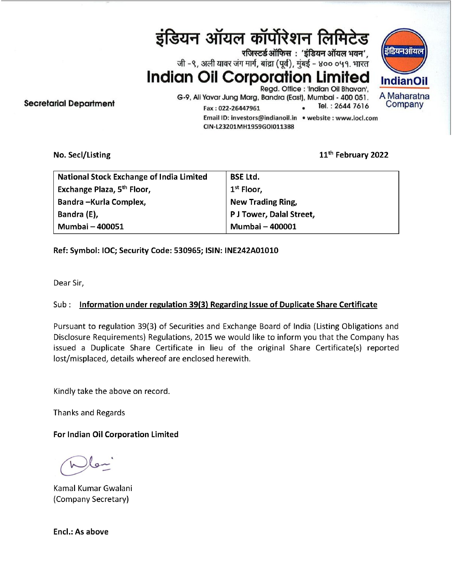इंडियन ऑयल कॉर्पोरेशन लिमिटेड wजिस्टर्ड ऑफिस : 'इंडियन ऑयल भवन', , जी –९, अली यावर जंग मार्ग, बांद्रा (पूर्व), मुंबई – ४०० ०५१. भारत Indian Oil Corporation Limited Indianoil Regd. Office : 'Indian Oil Bhavan', 

G-9, Ali Yavar Jung Marg, Bandra (East), Mumbai - 400 051. A Maharatna<br>Fine Reserved Ratio 20226447961 ... Tel.: 2644 7616 Company Email ID: investors@indianoil.in ¢ website : www.iocl.com CIN-L23201MH1959G01011388

No. Secl/Listing 11<sup>th</sup> February 2022

डडियनओयल

| <b>National Stock Exchange of India Limited</b> | <b>BSE Ltd.</b>          |
|-------------------------------------------------|--------------------------|
| Exchange Plaza, 5 <sup>th</sup> Floor,          | 1 <sup>st</sup> Floor,   |
| Bandra - Kurla Complex,                         | New Trading Ring,        |
| Bandra (E),                                     | P J Tower, Dalal Street, |
| Mumbai - 400051                                 | Mumbai - 400001          |

Ref: Symbol: IOC; Security Code: 530965; ISIN: INE242A01010

Dear Sir,

## Sub: Information under regulation 39(3) Regarding Issue of Duplicate Share Certificate

Pursuant to regulation 39(3) of Securities and Exchange Board of India (Listing Obligations and Disclosure Requirements) Regulations, 2015 we would like to inform you that the Company has issued a Duplicate Share Certificate in lieu of the original Share Certificate(s) reported lost/misplaced, details whereof are enclosed herewith.

Kindly take the above on record.

Thanks and Regards

For Indian Oil Corporation Limited

Kamal Kumar Gwalani (Company Secretary)

Encl.: As above